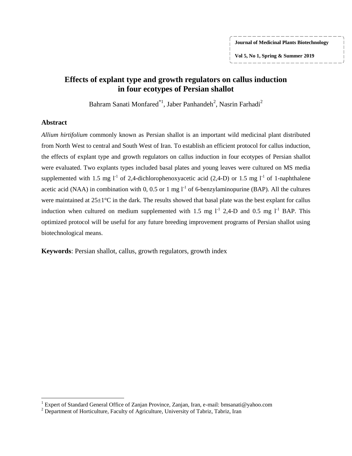**Vol 5, No 1, Spring & Summer 2019**

# **Effects of explant type and growth regulators on callus induction in four ecotypes of Persian shallot**

Bahram Sanati Monfared $^{\ast1}$ , Jaber Panhandeh $^2$ , Nasrin Farhadi $^2$ 

#### **Abstract**

 $\overline{\phantom{a}}$ 

*Allium hirtifolium* commonly known as Persian shallot is an important wild medicinal plant distributed from North West to central and South West of Iran. To establish an efficient protocol for callus induction, the effects of explant type and growth regulators on callus induction in four ecotypes of Persian shallot were evaluated. Two explants types included basal plates and young leaves were cultured on MS media supplemented with 1.5 mg  $l^{-1}$  of 2,4-dichlorophenoxyacetic acid (2,4-D) or 1.5 mg  $l^{-1}$  of 1-naphthalene acetic acid (NAA) in combination with 0, 0.5 or 1 mg  $1^{-1}$  of 6-benzylaminopurine (BAP). All the cultures were maintained at  $25\pm1^{\circ}$ C in the dark. The results showed that basal plate was the best explant for callus induction when cultured on medium supplemented with 1.5 mg  $l^{-1}$  2,4-D and 0.5 mg  $l^{-1}$  BAP. This optimized protocol will be useful for any future breeding improvement programs of Persian shallot using biotechnological means.

**Keywords**: Persian shallot, callus, growth regulators, growth index

<sup>&</sup>lt;sup>1</sup> Expert of Standard General Office of Zanjan Province, Zanjan, Iran, e-mail: bmsanati@yahoo.com

 $2^{2}$  Department of Horticulture, Faculty of Agriculture, University of Tabriz, Tabriz, Iran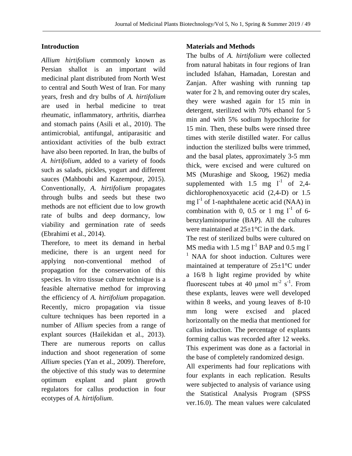# **Introduction**

*Allium hirtifolium* commonly known as Persian shallot is an important wild medicinal plant distributed from North West to central and South West of Iran. For many years, fresh and dry bulbs of *A. hirtifolium*  are used in herbal medicine to treat rheumatic, inflammatory, arthritis, diarrhea and stomach pains (Asili et al., 2010). The antimicrobial, antifungal, antiparasitic and antioxidant activities of the bulb extract have also been reported. In Iran, the bulbs of *A. hirtifolium*, added to a variety of foods such as salads, pickles, yogurt and different sauces (Mahboubi and Kazempour, 2015). Conventionally, *A. hirtifolium* propagates through bulbs and seeds but these two methods are not efficient due to low growth rate of bulbs and deep dormancy, low viability and germination rate of seeds (Ebrahimi et al., 2014).

Therefore, to meet its demand in herbal medicine, there is an urgent need for applying non-conventional method of propagation for the conservation of this species. In vitro tissue culture technique is a feasible alternative method for improving the efficiency of *A. hirtifolium* propagation. Recently, micro propagation via tissue culture techniques has been reported in a number of *Allium* species from a range of explant sources (Hailekidan et al., 2013). There are numerous reports on callus induction and shoot regeneration of some *Allium* species (Yan et al., 2009). Therefore, the objective of this study was to determine optimum explant and plant growth regulators for callus production in four ecotypes of *A. hirtifolium*.

## **Materials and Methods**

The bulbs of *A. hirtifolium* were collected from natural habitats in four regions of Iran included Isfahan, Hamadan, Lorestan and Zanjan. After washing with running tap water for 2 h, and removing outer dry scales, they were washed again for 15 min in detergent, sterilized with 70% ethanol for 5 min and with 5% sodium hypochlorite for 15 min. Then, these bulbs were rinsed three times with sterile distilled water. For callus induction the sterilized bulbs were trimmed, and the basal plates, approximately 3-5 mm thick, were excised and were cultured on MS (Murashige and Skoog, 1962) media supplemented with 1.5 mg  $l^{-1}$  of 2,4dichlorophenoxyacetic acid (2,4-D) or 1.5 mg  $l<sup>-1</sup>$  of 1-naphthalene acetic acid (NAA) in combination with 0, 0.5 or 1 mg  $1^{-1}$  of 6benzylaminopurine (BAP). All the cultures were maintained at  $25+1$ °C in the dark.

The rest of sterilized bulbs were cultured on MS media with 1.5 mg  $l^{-1}$  BAP and 0.5 mg  $l^{-}$  $<sup>1</sup>$  NAA for shoot induction. Cultures were</sup> maintained at temperature of 25±1°C under a 16/8 h light regime provided by white fluorescent tubes at 40  $\mu$ mol m<sup>-2</sup> s<sup>-1</sup>. From these explants, leaves were well developed within 8 weeks, and young leaves of 8-10 mm long were excised and placed horizontally on the media that mentioned for callus induction. The percentage of explants forming callus was recorded after 12 weeks. This experiment was done as a factorial in the base of completely randomized design.

All experiments had four replications with four explants in each replication. Results were subjected to analysis of variance using the Statistical Analysis Program (SPSS ver.16.0). The mean values were calculated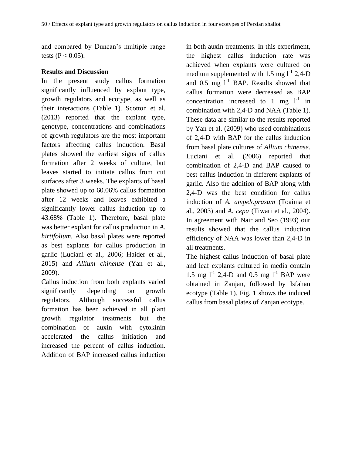and compared by Duncan's multiple range tests ( $P < 0.05$ ).

### **Results and Discussion**

In the present study callus formation significantly influenced by explant type, growth regulators and ecotype, as well as their interactions (Table 1). Scotton et al. (2013) reported that the explant type, genotype, concentrations and combinations of growth regulators are the most important factors affecting callus induction. Basal plates showed the earliest signs of callus formation after 2 weeks of culture, but leaves started to initiate callus from cut surfaces after 3 weeks. The explants of basal plate showed up to 60.06% callus formation after 12 weeks and leaves exhibited a significantly lower callus induction up to 43.68% (Table 1). Therefore, basal plate was better explant for callus production in *A. hirtifolium.* Also basal plates were reported as best explants for callus production in garlic (Luciani et al., 2006; Haider et al., 2015) and *Allium chinense* (Yan et al., 2009).

Callus induction from both explants varied significantly depending on growth regulators. Although successful callus formation has been achieved in all plant growth regulator treatments but the combination of auxin with cytokinin accelerated the callus initiation and increased the percent of callus induction. Addition of BAP increased callus induction

in both auxin treatments. In this experiment, the highest callus induction rate was achieved when explants were cultured on medium supplemented with 1.5 mg  $l^{-1}$  2,4-D and 0.5 mg  $1^1$  BAP. Results showed that callus formation were decreased as BAP concentration increased to 1 mg  $1^{-1}$  in combination with 2,4-D and NAA (Table 1). These data are similar to the results reported by Yan et al. (2009) who used combinations of 2,4-D with BAP for the callus induction from basal plate cultures of *Allium chinense*. Luciani et al. (2006) reported that combination of 2,4-D and BAP caused to best callus induction in different explants of garlic. Also the addition of BAP along with 2,4-D was the best condition for callus induction of *A. ampeloprasum* (Toaima et al., 2003) and *A. cepa* (Tiwari et al., 2004). In agreement with Nair and Seo (1993) our results showed that the callus induction efficiency of NAA was lower than 2,4-D in all treatments.

The highest callus induction of basal plate and leaf explants cultured in media contain 1.5 mg  $l^{-1}$  2,4-D and 0.5 mg  $l^{-1}$  BAP were obtained in Zanjan, followed by Isfahan ecotype (Table 1). Fig. 1 shows the induced callus from basal plates of Zanjan ecotype.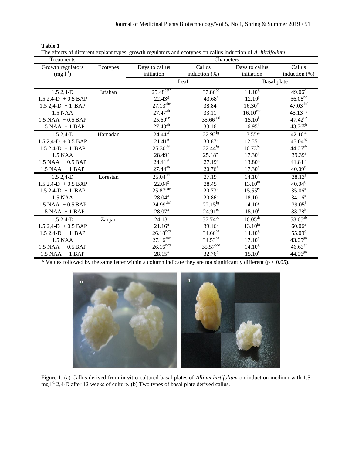| ш |  |
|---|--|
|   |  |

| The effects of different explant types, growth regulators and ecotypes on callus induction of A. hirtifolium |  |  |  |
|--------------------------------------------------------------------------------------------------------------|--|--|--|
|                                                                                                              |  |  |  |

| Treatments            |          | Characters             |                       |                        |                        |  |
|-----------------------|----------|------------------------|-----------------------|------------------------|------------------------|--|
| Growth regulators     | Ecotypes | Days to callus         | Callus                | Days to callus         | Callus                 |  |
| $(mg l^{-1})$         |          | initiation             | induction $(\%)$      | initiation             | induction $(\%)$       |  |
|                       |          | Leaf                   |                       | <b>Basal</b> plate     |                        |  |
| 1.5 2,4-D             | Isfahan  | $25.48^{\text{def*}}$  | $37.86$ <sup>bc</sup> | $14.10^{8}$            | $49.06^{\overline{d}}$ |  |
| $1.5$ 2,4-D + 0.5 BAP |          | $22.43^{\rm g}$        | $43.68^{a}$           | $12.10^{j}$            | $56.08^{bc}$           |  |
| $1.5$ 2,4-D + 1 BAP   |          | $27.13^{abc}$          | $38.84^{b}$           | 16.30 <sup>cd</sup>    | $47.03^{\text{def}}$   |  |
| 1.5 NAA               |          | 27.47 <sup>ab</sup>    | $33.11^d$             | $16.10^{\text{cde}}$   | $45.13^{efg}$          |  |
| $1.5$ NAA + $0.5$ BAP |          | $25.69^{de}$           | $35.66$ bcd           | 15.10 <sup>f</sup>     | $47.42^{de}$           |  |
| $1.5$ NAA + 1 BAP     |          | $27.40^{ab}$           | $33.16^{d}$           | $16.95^{b}$            | $43.76^{gh}$           |  |
| $1.52,4-D$            | Hamadan  | $24.44$ <sup>ef</sup>  | $22.92^{fg}$          | $13.55^{gh}$           | $42.10^{hi}$           |  |
| $1.5$ 2,4-D + 0.5 BAP |          | 21.41 <sup>g</sup>     | $33.87^d$             | $12.55^{ij}$           | $45.04$ <sup>fg</sup>  |  |
| $1.5$ 2,4-D + 1 BAP   |          | $25.30$ <sup>def</sup> | $22.44^{fg}$          | $16.73^{bc}$           | $44.05^{gh}$           |  |
| 1.5 NAA               |          | $28.49^{a}$            | $25.18^{ef}$          | $17.30^{b}$            | $39.39^{j}$            |  |
| $1.5$ NAA + $0.5$ BAP |          | $24.41$ <sup>ef</sup>  | $27.19^e$             | $13.80^{8}$            | 41.81 <sup>hi</sup>    |  |
| $1.5$ NAA + 1 BAP     |          | 27.44 <sup>ab</sup>    | $20.76^{\rm g}$       | $17.30^{b}$            | $40.09^{ij}$           |  |
| $1.52,4-D$            | Lorestan | $25.04$ <sup>def</sup> | $27.19^e$             | $14.10^{\overline{g}}$ | $38.13^{j}$            |  |
| $1.5$ 2,4-D + 0.5 BAP |          | $22.04^{\text{g}}$     | $28.45^e$             | $13.10^{hi}$           | $40.04^{ij}$           |  |
| $1.5$ 2,4-D + 1 BAP   |          | $25.87^{\text{cde}}$   | $20.73^{8}$           | $15.55^{\text{ef}}$    | $35.06^{k}$            |  |
| 1.5 NAA               |          | $28.04^{a}$            | 20.86 <sup>g</sup>    | $18.10^{a}$            | $34.16^{k}$            |  |
| $1.5$ NAA + $0.5$ BAP |          | $24.99$ <sup>def</sup> | $22.15^{fg}$          | $14.10^{8}$            | $39.05^{j}$            |  |
| $1.5$ NAA + 1 BAP     |          | $28.07^{\text{a}}$     | 24.91 <sup>ef</sup>   | $15.10^{f}$            | $33.78^{k}$            |  |
| $1.52.4-D$            | Zanjan   | $24.13^{f}$            | $37.74^{bc}$          | $16.05^{de}$           | $58.05^{ab}$           |  |
| $1.5$ 2,4-D + 0.5 BAP |          | $21.16^{g}$            | $39.16^{b}$           | $13.10^{hi}$           | $60.06^a$              |  |
| $1.5$ 2,4-D + 1 BAP   |          | 26.18 <sup>bcd</sup>   | $34.66^{cd}$          | $14.10^{8}$            | 55.09 <sup>c</sup>     |  |
| 1.5 NAA               |          | $27.16^{abc}$          | $34.53^{cd}$          | $17.10^{b}$            | $43.05^{gh}$           |  |
| $1.5$ NAA + $0.5$ BAP |          | 26.16 <sup>bcd</sup>   | 35.57 <sup>bcd</sup>  | $14.10^{8}$            | $46.63^{\text{ef}}$    |  |
| $1.5$ NAA + 1 BAP     |          | $28.15^a$              | $32.76^d$             | $15.10^{f}$            | $44.06^{gh}$           |  |

\* Values followed by the same letter within a column indicate they are not significantly different ( $p < 0.05$ ).



Figure 1. (a) Callus derived from in vitro cultured basal plates of *Allium hirtifolium* on induction medium with 1.5 mg l<sup>-1</sup> 2,4-D after 12 weeks of culture. (b) Two types of basal plate derived callus.